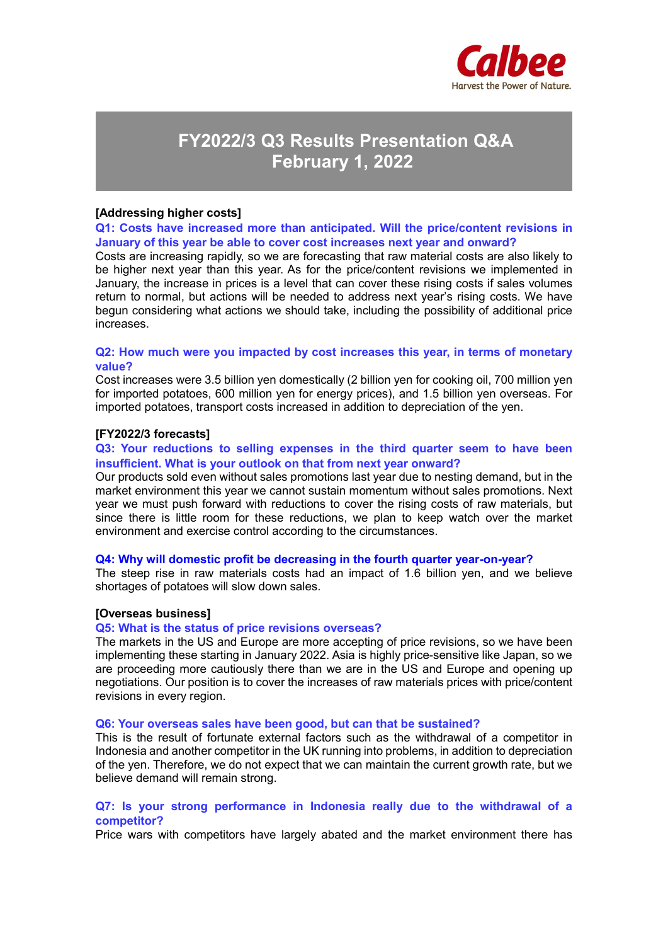

# FY2022/3 Q3 Results Presentation Q&A February 1, 2022

## [Addressing higher costs]

Q1: Costs have increased more than anticipated. Will the price/content revisions in January of this year be able to cover cost increases next year and onward?

Costs are increasing rapidly, so we are forecasting that raw material costs are also likely to be higher next year than this year. As for the price/content revisions we implemented in January, the increase in prices is a level that can cover these rising costs if sales volumes return to normal, but actions will be needed to address next year's rising costs. We have begun considering what actions we should take, including the possibility of additional price increases.

## Q2: How much were you impacted by cost increases this year, in terms of monetary value?

Cost increases were 3.5 billion yen domestically (2 billion yen for cooking oil, 700 million yen for imported potatoes, 600 million yen for energy prices), and 1.5 billion yen overseas. For imported potatoes, transport costs increased in addition to depreciation of the yen.

## [FY2022/3 forecasts]

## Q3: Your reductions to selling expenses in the third quarter seem to have been insufficient. What is your outlook on that from next year onward?

Our products sold even without sales promotions last year due to nesting demand, but in the market environment this year we cannot sustain momentum without sales promotions. Next year we must push forward with reductions to cover the rising costs of raw materials, but since there is little room for these reductions, we plan to keep watch over the market environment and exercise control according to the circumstances.

## Q4: Why will domestic profit be decreasing in the fourth quarter year-on-year?

The steep rise in raw materials costs had an impact of 1.6 billion yen, and we believe shortages of potatoes will slow down sales.

#### [Overseas business]

#### Q5: What is the status of price revisions overseas?

The markets in the US and Europe are more accepting of price revisions, so we have been implementing these starting in January 2022. Asia is highly price-sensitive like Japan, so we are proceeding more cautiously there than we are in the US and Europe and opening up negotiations. Our position is to cover the increases of raw materials prices with price/content revisions in every region.

#### Q6: Your overseas sales have been good, but can that be sustained?

This is the result of fortunate external factors such as the withdrawal of a competitor in Indonesia and another competitor in the UK running into problems, in addition to depreciation of the yen. Therefore, we do not expect that we can maintain the current growth rate, but we believe demand will remain strong.

## Q7: Is your strong performance in Indonesia really due to the withdrawal of a competitor?

Price wars with competitors have largely abated and the market environment there has